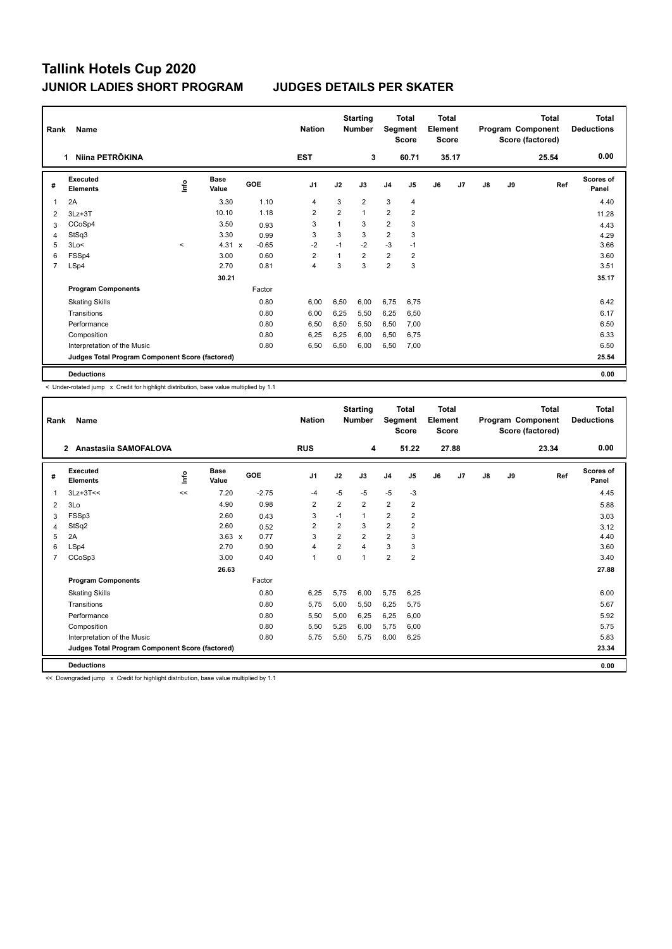| Rank           | Name                                            |                          |                      |         | <b>Nation</b>  |                | <b>Starting</b><br><b>Number</b> |                | <b>Total</b><br>Segment<br><b>Score</b> | <b>Total</b><br>Element<br><b>Score</b> |       |               |    | <b>Total</b><br>Program Component<br>Score (factored) | <b>Total</b><br><b>Deductions</b> |
|----------------|-------------------------------------------------|--------------------------|----------------------|---------|----------------|----------------|----------------------------------|----------------|-----------------------------------------|-----------------------------------------|-------|---------------|----|-------------------------------------------------------|-----------------------------------|
|                | Niina PETRÕKINA<br>1.                           |                          |                      |         | <b>EST</b>     |                | 3                                |                | 60.71                                   |                                         | 35.17 |               |    | 25.54                                                 | 0.00                              |
| #              | Executed<br><b>Elements</b>                     | lnfo                     | <b>Base</b><br>Value | GOE     | J <sub>1</sub> | J2             | J3                               | J <sub>4</sub> | J <sub>5</sub>                          | J6                                      | J7    | $\mathsf{J}8$ | J9 | Ref                                                   | <b>Scores of</b><br>Panel         |
|                | 2A                                              |                          | 3.30                 | 1.10    | 4              | 3              | $\overline{2}$                   | 3              | 4                                       |                                         |       |               |    |                                                       | 4.40                              |
| 2              | $3Lz + 3T$                                      |                          | 10.10                | 1.18    | $\overline{2}$ | $\overline{2}$ | $\mathbf{1}$                     | $\overline{2}$ | $\overline{\mathbf{c}}$                 |                                         |       |               |    |                                                       | 11.28                             |
| 3              | CCoSp4                                          |                          | 3.50                 | 0.93    | 3              | 1              | 3                                | $\overline{2}$ | 3                                       |                                         |       |               |    |                                                       | 4.43                              |
| 4              | StSq3                                           |                          | 3.30                 | 0.99    | 3              | 3              | 3                                | $\overline{2}$ | 3                                       |                                         |       |               |    |                                                       | 4.29                              |
| 5              | 3Lo<                                            | $\overline{\phantom{a}}$ | $4.31 \times$        | $-0.65$ | $-2$           | $-1$           | $-2$                             | $-3$           | $-1$                                    |                                         |       |               |    |                                                       | 3.66                              |
| 6              | FSSp4                                           |                          | 3.00                 | 0.60    | $\overline{2}$ | 1              | $\overline{2}$                   | $\overline{2}$ | $\overline{2}$                          |                                         |       |               |    |                                                       | 3.60                              |
| $\overline{7}$ | LSp4                                            |                          | 2.70                 | 0.81    | 4              | 3              | 3                                | $\overline{2}$ | 3                                       |                                         |       |               |    |                                                       | 3.51                              |
|                |                                                 |                          | 30.21                |         |                |                |                                  |                |                                         |                                         |       |               |    |                                                       | 35.17                             |
|                | <b>Program Components</b>                       |                          |                      | Factor  |                |                |                                  |                |                                         |                                         |       |               |    |                                                       |                                   |
|                | <b>Skating Skills</b>                           |                          |                      | 0.80    | 6,00           | 6,50           | 6.00                             | 6,75           | 6.75                                    |                                         |       |               |    |                                                       | 6.42                              |
|                | Transitions                                     |                          |                      | 0.80    | 6,00           | 6,25           | 5,50                             | 6,25           | 6,50                                    |                                         |       |               |    |                                                       | 6.17                              |
|                | Performance                                     |                          |                      | 0.80    | 6,50           | 6.50           | 5.50                             | 6,50           | 7,00                                    |                                         |       |               |    |                                                       | 6.50                              |
|                | Composition                                     |                          |                      | 0.80    | 6,25           | 6,25           | 6,00                             | 6,50           | 6,75                                    |                                         |       |               |    |                                                       | 6.33                              |
|                | Interpretation of the Music                     |                          |                      | 0.80    | 6,50           | 6,50           | 6,00                             | 6,50           | 7,00                                    |                                         |       |               |    |                                                       | 6.50                              |
|                | Judges Total Program Component Score (factored) |                          |                      |         |                |                |                                  |                |                                         |                                         |       |               |    |                                                       | 25.54                             |
|                | <b>Deductions</b>                               |                          |                      |         |                |                |                                  |                |                                         |                                         |       |               |    |                                                       | 0.00                              |

< Under-rotated jump x Credit for highlight distribution, base value multiplied by 1.1

| Rank           | Name                                            |             |                      |         | <b>Nation</b>  |                         | <b>Starting</b><br><b>Number</b> | Segment        | <b>Total</b><br><b>Score</b> | <b>Total</b><br>Element<br><b>Score</b> |       |               |    | Total<br>Program Component<br>Score (factored) | <b>Total</b><br><b>Deductions</b> |
|----------------|-------------------------------------------------|-------------|----------------------|---------|----------------|-------------------------|----------------------------------|----------------|------------------------------|-----------------------------------------|-------|---------------|----|------------------------------------------------|-----------------------------------|
|                | Anastasiia SAMOFALOVA<br>$\mathbf{2}$           |             |                      |         | <b>RUS</b>     |                         | 4                                |                | 51.22                        |                                         | 27.88 |               |    | 23.34                                          | 0.00                              |
| #              | Executed<br><b>Elements</b>                     | <u>info</u> | <b>Base</b><br>Value | GOE     | J <sub>1</sub> | J2                      | J3                               | J <sub>4</sub> | J <sub>5</sub>               | J6                                      | J7    | $\mathsf{J}8$ | J9 | Ref                                            | Scores of<br>Panel                |
| 1              | $3Lz+3T<<$                                      | <<          | 7.20                 | $-2.75$ | $-4$           | $-5$                    | $-5$                             | $-5$           | $-3$                         |                                         |       |               |    |                                                | 4.45                              |
| 2              | 3Lo                                             |             | 4.90                 | 0.98    | $\overline{2}$ | $\overline{2}$          | $\overline{2}$                   | $\overline{2}$ | $\overline{2}$               |                                         |       |               |    |                                                | 5.88                              |
| 3              | FSSp3                                           |             | 2.60                 | 0.43    | 3              | $-1$                    | 1                                | $\overline{2}$ | $\overline{\mathbf{c}}$      |                                         |       |               |    |                                                | 3.03                              |
| 4              | StSq2                                           |             | 2.60                 | 0.52    | 2              | $\overline{\mathbf{c}}$ | 3                                | $\overline{2}$ | $\overline{2}$               |                                         |       |               |    |                                                | 3.12                              |
| 5              | 2A                                              |             | $3.63 \times$        | 0.77    | 3              | $\overline{2}$          | $\overline{2}$                   | $\overline{2}$ | 3                            |                                         |       |               |    |                                                | 4.40                              |
| 6              | LSp4                                            |             | 2.70                 | 0.90    | $\overline{4}$ | $\overline{2}$          | $\overline{\mathbf{4}}$          | 3              | 3                            |                                         |       |               |    |                                                | 3.60                              |
| $\overline{7}$ | CCoSp3                                          |             | 3.00                 | 0.40    | 1              | $\Omega$                | $\overline{1}$                   | $\overline{2}$ | $\overline{2}$               |                                         |       |               |    |                                                | 3.40                              |
|                |                                                 |             | 26.63                |         |                |                         |                                  |                |                              |                                         |       |               |    |                                                | 27.88                             |
|                | <b>Program Components</b>                       |             |                      | Factor  |                |                         |                                  |                |                              |                                         |       |               |    |                                                |                                   |
|                | <b>Skating Skills</b>                           |             |                      | 0.80    | 6,25           | 5,75                    | 6.00                             | 5,75           | 6,25                         |                                         |       |               |    |                                                | 6.00                              |
|                | Transitions                                     |             |                      | 0.80    | 5,75           | 5,00                    | 5,50                             | 6,25           | 5,75                         |                                         |       |               |    |                                                | 5.67                              |
|                | Performance                                     |             |                      | 0.80    | 5,50           | 5,00                    | 6.25                             | 6,25           | 6,00                         |                                         |       |               |    |                                                | 5.92                              |
|                | Composition                                     |             |                      | 0.80    | 5,50           | 5,25                    | 6.00                             | 5,75           | 6,00                         |                                         |       |               |    |                                                | 5.75                              |
|                | Interpretation of the Music                     |             |                      | 0.80    | 5,75           | 5,50                    | 5,75                             | 6,00           | 6,25                         |                                         |       |               |    |                                                | 5.83                              |
|                | Judges Total Program Component Score (factored) |             |                      |         |                |                         |                                  |                |                              |                                         |       |               |    |                                                | 23.34                             |
|                | <b>Deductions</b>                               |             |                      |         |                |                         |                                  |                |                              |                                         |       |               |    |                                                | 0.00                              |

<< Downgraded jump x Credit for highlight distribution, base value multiplied by 1.1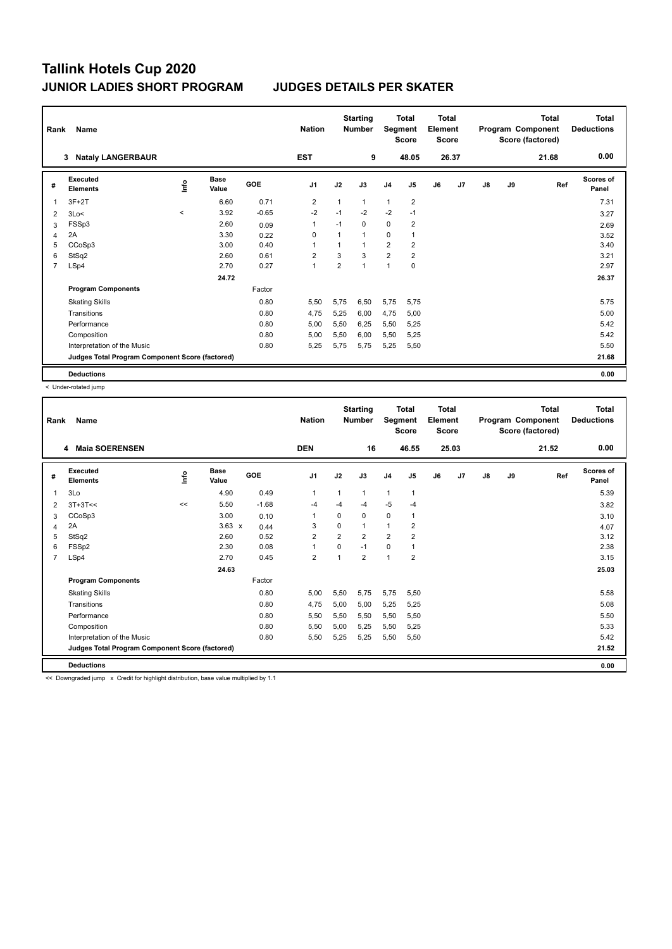| Rank           | Name                                            |              |                      |         | <b>Nation</b>  |                | <b>Starting</b><br><b>Number</b> | Segment        | <b>Total</b><br><b>Score</b> | <b>Total</b><br>Element<br><b>Score</b> |       |    |    | <b>Total</b><br>Program Component<br>Score (factored) | <b>Total</b><br><b>Deductions</b> |
|----------------|-------------------------------------------------|--------------|----------------------|---------|----------------|----------------|----------------------------------|----------------|------------------------------|-----------------------------------------|-------|----|----|-------------------------------------------------------|-----------------------------------|
|                | <b>Nataly LANGERBAUR</b><br>3                   |              |                      |         | <b>EST</b>     |                | 9                                |                | 48.05                        |                                         | 26.37 |    |    | 21.68                                                 | 0.00                              |
| #              | Executed<br><b>Elements</b>                     | lnfo         | <b>Base</b><br>Value | GOE     | J <sub>1</sub> | J2             | J3                               | J <sub>4</sub> | J <sub>5</sub>               | J6                                      | J7    | J8 | J9 | Ref                                                   | <b>Scores of</b><br>Panel         |
| 1              | $3F+2T$                                         |              | 6.60                 | 0.71    | $\overline{2}$ | $\mathbf{1}$   | $\mathbf{1}$                     | 1              | $\overline{2}$               |                                         |       |    |    |                                                       | 7.31                              |
| 2              | 3Lo<                                            | $\checkmark$ | 3.92                 | $-0.65$ | $-2$           | $-1$           | $-2$                             | $-2$           | $-1$                         |                                         |       |    |    |                                                       | 3.27                              |
| 3              | FSSp3                                           |              | 2.60                 | 0.09    | $\mathbf{1}$   | $-1$           | $\Omega$                         | 0              | $\overline{\mathbf{c}}$      |                                         |       |    |    |                                                       | 2.69                              |
| 4              | 2A                                              |              | 3.30                 | 0.22    | $\Omega$       | $\mathbf{1}$   | $\overline{1}$                   | 0              |                              |                                         |       |    |    |                                                       | 3.52                              |
| 5              | CCoSp3                                          |              | 3.00                 | 0.40    | 1              |                | 1                                | $\overline{2}$ | $\overline{2}$               |                                         |       |    |    |                                                       | 3.40                              |
| 6              | StSq2                                           |              | 2.60                 | 0.61    | $\overline{2}$ | 3              | 3                                | $\overline{2}$ | $\overline{\mathbf{c}}$      |                                         |       |    |    |                                                       | 3.21                              |
| $\overline{7}$ | LSp4                                            |              | 2.70                 | 0.27    | $\overline{1}$ | $\overline{2}$ | 1                                | 1              | $\mathbf 0$                  |                                         |       |    |    |                                                       | 2.97                              |
|                |                                                 |              | 24.72                |         |                |                |                                  |                |                              |                                         |       |    |    |                                                       | 26.37                             |
|                | <b>Program Components</b>                       |              |                      | Factor  |                |                |                                  |                |                              |                                         |       |    |    |                                                       |                                   |
|                | <b>Skating Skills</b>                           |              |                      | 0.80    | 5.50           | 5,75           | 6,50                             | 5,75           | 5.75                         |                                         |       |    |    |                                                       | 5.75                              |
|                | Transitions                                     |              |                      | 0.80    | 4,75           | 5,25           | 6,00                             | 4,75           | 5,00                         |                                         |       |    |    |                                                       | 5.00                              |
|                | Performance                                     |              |                      | 0.80    | 5.00           | 5.50           | 6.25                             | 5,50           | 5,25                         |                                         |       |    |    |                                                       | 5.42                              |
|                | Composition                                     |              |                      | 0.80    | 5,00           | 5,50           | 6,00                             | 5,50           | 5,25                         |                                         |       |    |    |                                                       | 5.42                              |
|                | Interpretation of the Music                     |              |                      | 0.80    | 5,25           | 5,75           | 5,75                             | 5,25           | 5,50                         |                                         |       |    |    |                                                       | 5.50                              |
|                | Judges Total Program Component Score (factored) |              |                      |         |                |                |                                  |                |                              |                                         |       |    |    |                                                       | 21.68                             |
|                | <b>Deductions</b>                               |              |                      |         |                |                |                                  |                |                              |                                         |       |    |    |                                                       | 0.00                              |

< Under-rotated jump

| Rank           | Name<br><b>Maia SOERENSEN</b><br>4                                                                                          |    |                      |         | <b>Nation</b>  |                | <b>Starting</b><br><b>Number</b> | Segment        | <b>Total</b><br><b>Score</b> | <b>Total</b><br>Element<br><b>Score</b> |       |               |    | <b>Total</b><br>Program Component<br>Score (factored) | <b>Total</b><br><b>Deductions</b> |
|----------------|-----------------------------------------------------------------------------------------------------------------------------|----|----------------------|---------|----------------|----------------|----------------------------------|----------------|------------------------------|-----------------------------------------|-------|---------------|----|-------------------------------------------------------|-----------------------------------|
|                |                                                                                                                             |    |                      |         | <b>DEN</b>     |                | 16                               |                | 46.55                        |                                         | 25.03 |               |    | 21.52                                                 | 0.00                              |
| #              | Executed<br><b>Elements</b>                                                                                                 | ۴ô | <b>Base</b><br>Value | GOE     | J <sub>1</sub> | J2             | J3                               | J <sub>4</sub> | J <sub>5</sub>               | J6                                      | J7    | $\mathsf{J}8$ | J9 | Ref                                                   | Scores of<br>Panel                |
| 1              | 3Lo                                                                                                                         |    | 4.90                 | 0.49    | 1              | $\mathbf 1$    | 1                                | $\mathbf{1}$   | $\mathbf{1}$                 |                                         |       |               |    |                                                       | 5.39                              |
| 2              | $3T+3T<<$                                                                                                                   | << | 5.50                 | $-1.68$ | $-4$           | $-4$           | $-4$                             | $-5$           | $-4$                         |                                         |       |               |    |                                                       | 3.82                              |
| 3              | CCoSp3                                                                                                                      |    | 3.00                 | 0.10    | 1              | 0              | 0                                | $\mathbf 0$    | 1                            |                                         |       |               |    |                                                       | 3.10                              |
| 4              | 2A                                                                                                                          |    | $3.63 \times$        | 0.44    | 3              | $\Omega$       |                                  | 1              | 2                            |                                         |       |               |    |                                                       | 4.07                              |
| 5              | StSq2                                                                                                                       |    | 2.60                 | 0.52    | $\overline{2}$ | $\overline{2}$ | $\overline{2}$                   | $\overline{2}$ | $\overline{2}$               |                                         |       |               |    |                                                       | 3.12                              |
| 6              | FSSp2                                                                                                                       |    | 2.30                 | 0.08    | 1              | 0              | $-1$                             | $\mathbf 0$    | 1                            |                                         |       |               |    |                                                       | 2.38                              |
| $\overline{7}$ | LSp4                                                                                                                        |    | 2.70                 | 0.45    | $\overline{2}$ | $\overline{1}$ | $\overline{2}$                   | $\mathbf{1}$   | $\overline{2}$               |                                         |       |               |    |                                                       | 3.15                              |
|                |                                                                                                                             |    | 24.63                |         |                |                |                                  |                |                              |                                         |       |               |    |                                                       | 25.03                             |
|                | <b>Program Components</b>                                                                                                   |    |                      | Factor  |                |                |                                  |                |                              |                                         |       |               |    |                                                       |                                   |
|                | <b>Skating Skills</b>                                                                                                       |    |                      | 0.80    | 5,00           | 5,50           | 5,75                             | 5,75           | 5,50                         |                                         |       |               |    |                                                       | 5.58                              |
|                | Transitions                                                                                                                 |    |                      | 0.80    | 4,75           | 5,00           | 5,00                             | 5,25           | 5,25                         |                                         |       |               |    |                                                       | 5.08                              |
|                | Performance                                                                                                                 |    |                      | 0.80    | 5,50           | 5,50           | 5,50                             | 5,50           | 5,50                         |                                         |       |               |    |                                                       | 5.50                              |
|                | Composition                                                                                                                 |    |                      | 0.80    | 5,50           | 5,00           | 5,25                             | 5,50           | 5,25                         |                                         |       |               |    |                                                       | 5.33                              |
|                | Interpretation of the Music                                                                                                 |    |                      | 0.80    | 5,50           | 5,25           | 5,25                             | 5,50           | 5,50                         |                                         |       |               |    |                                                       | 5.42                              |
|                | Judges Total Program Component Score (factored)                                                                             |    |                      |         |                |                |                                  |                |                              |                                         |       |               |    |                                                       | 21.52                             |
|                | <b>Deductions</b>                                                                                                           |    |                      |         |                |                |                                  |                |                              |                                         |       |               |    |                                                       | 0.00                              |
|                | a a "Procedural de al Social" (com Para alta des la Sala Relativa alternational de esta composición de la computación de la |    |                      |         |                |                |                                  |                |                              |                                         |       |               |    |                                                       |                                   |

ngraded jump  $\,$  x Credit for highlight distribution, base value multiplied by 1.1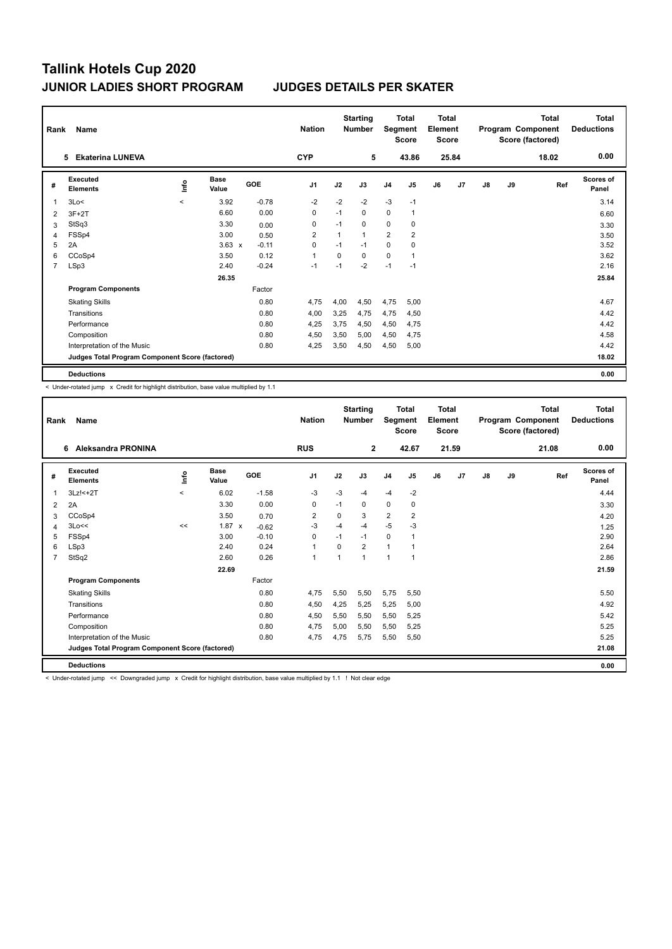| Rank           | Name<br><b>Ekaterina LUNEVA</b><br>5.           |           |                      |         | <b>Nation</b>  |      | <b>Starting</b><br><b>Number</b> |                | <b>Total</b><br>Segment<br><b>Score</b> | <b>Total</b><br>Element<br><b>Score</b> |       |               |    | <b>Total</b><br>Program Component<br>Score (factored) | <b>Total</b><br><b>Deductions</b> |
|----------------|-------------------------------------------------|-----------|----------------------|---------|----------------|------|----------------------------------|----------------|-----------------------------------------|-----------------------------------------|-------|---------------|----|-------------------------------------------------------|-----------------------------------|
|                |                                                 |           |                      |         | <b>CYP</b>     |      | 5                                |                | 43.86                                   |                                         | 25.84 |               |    | 18.02                                                 | 0.00                              |
| #              | Executed<br><b>Elements</b>                     | lnfo      | <b>Base</b><br>Value | GOE     | J <sub>1</sub> | J2   | J3                               | J <sub>4</sub> | J <sub>5</sub>                          | J6                                      | J7    | $\mathsf{J}8$ | J9 | Ref                                                   | <b>Scores of</b><br>Panel         |
|                | 3Lo<                                            | $\hat{~}$ | 3.92                 | $-0.78$ | $-2$           | $-2$ | $-2$                             | $-3$           | $-1$                                    |                                         |       |               |    |                                                       | 3.14                              |
| 2              | $3F+2T$                                         |           | 6.60                 | 0.00    | 0              | $-1$ | 0                                | 0              | $\overline{1}$                          |                                         |       |               |    |                                                       | 6.60                              |
| 3              | StSq3                                           |           | 3.30                 | 0.00    | 0              | $-1$ | 0                                | $\mathbf 0$    | 0                                       |                                         |       |               |    |                                                       | 3.30                              |
| 4              | FSSp4                                           |           | 3.00                 | 0.50    | $\overline{2}$ | 1    | $\mathbf{1}$                     | $\overline{2}$ | $\overline{2}$                          |                                         |       |               |    |                                                       | 3.50                              |
| 5              | 2A                                              |           | $3.63 \times$        | $-0.11$ | 0              | $-1$ | $-1$                             | 0              | 0                                       |                                         |       |               |    |                                                       | 3.52                              |
| 6              | CCoSp4                                          |           | 3.50                 | 0.12    | 1              | 0    | $\mathbf{0}$                     | $\mathbf 0$    | $\overline{1}$                          |                                         |       |               |    |                                                       | 3.62                              |
| $\overline{7}$ | LSp3                                            |           | 2.40                 | $-0.24$ | $-1$           | $-1$ | $-2$                             | $-1$           | $-1$                                    |                                         |       |               |    |                                                       | 2.16                              |
|                |                                                 |           | 26.35                |         |                |      |                                  |                |                                         |                                         |       |               |    |                                                       | 25.84                             |
|                | <b>Program Components</b>                       |           |                      | Factor  |                |      |                                  |                |                                         |                                         |       |               |    |                                                       |                                   |
|                | <b>Skating Skills</b>                           |           |                      | 0.80    | 4,75           | 4,00 | 4,50                             | 4,75           | 5,00                                    |                                         |       |               |    |                                                       | 4.67                              |
|                | Transitions                                     |           |                      | 0.80    | 4,00           | 3,25 | 4,75                             | 4,75           | 4,50                                    |                                         |       |               |    |                                                       | 4.42                              |
|                | Performance                                     |           |                      | 0.80    | 4.25           | 3.75 | 4.50                             | 4,50           | 4.75                                    |                                         |       |               |    |                                                       | 4.42                              |
|                | Composition                                     |           |                      | 0.80    | 4,50           | 3,50 | 5,00                             | 4,50           | 4,75                                    |                                         |       |               |    |                                                       | 4.58                              |
|                | Interpretation of the Music                     |           |                      | 0.80    | 4,25           | 3,50 | 4,50                             | 4,50           | 5,00                                    |                                         |       |               |    |                                                       | 4.42                              |
|                | Judges Total Program Component Score (factored) |           |                      |         |                |      |                                  |                |                                         |                                         |       |               |    |                                                       | 18.02                             |
|                | <b>Deductions</b>                               |           |                      |         |                |      |                                  |                |                                         |                                         |       |               |    |                                                       | 0.00                              |

< Under-rotated jump x Credit for highlight distribution, base value multiplied by 1.1

| Rank           | Name                                            |             |                      |            | <b>Nation</b>  |          | <b>Starting</b><br><b>Number</b> | Segment                 | <b>Total</b><br><b>Score</b> | <b>Total</b><br>Element<br>Score |       |               |    | <b>Total</b><br>Program Component<br>Score (factored) | <b>Total</b><br><b>Deductions</b> |
|----------------|-------------------------------------------------|-------------|----------------------|------------|----------------|----------|----------------------------------|-------------------------|------------------------------|----------------------------------|-------|---------------|----|-------------------------------------------------------|-----------------------------------|
|                | <b>Aleksandra PRONINA</b><br>6                  |             |                      |            | <b>RUS</b>     |          | $\mathbf{2}$                     |                         | 42.67                        |                                  | 21.59 |               |    | 21.08                                                 | 0.00                              |
| #              | Executed<br><b>Elements</b>                     | <u>info</u> | <b>Base</b><br>Value | <b>GOE</b> | J <sub>1</sub> | J2       | J3                               | J <sub>4</sub>          | J <sub>5</sub>               | J6                               | J7    | $\mathsf{J}8$ | J9 | Ref                                                   | <b>Scores of</b><br>Panel         |
| 1              | $3Lz! < +2T$                                    | $\prec$     | 6.02                 | $-1.58$    | $-3$           | $-3$     | $-4$                             | $-4$                    | $-2$                         |                                  |       |               |    |                                                       | 4.44                              |
| 2              | 2A                                              |             | 3.30                 | 0.00       | 0              | $-1$     | 0                                | 0                       | 0                            |                                  |       |               |    |                                                       | 3.30                              |
| 3              | CCoSp4                                          |             | 3.50                 | 0.70       | 2              | 0        | 3                                | $\overline{\mathbf{c}}$ | 2                            |                                  |       |               |    |                                                       | 4.20                              |
| 4              | 3Lo<<                                           | <<          | 1.87 x               | $-0.62$    | $-3$           | $-4$     | $-4$                             | $-5$                    | $-3$                         |                                  |       |               |    |                                                       | 1.25                              |
| 5              | FSSp4                                           |             | 3.00                 | $-0.10$    | $\Omega$       | $-1$     | $-1$                             | 0                       | 1                            |                                  |       |               |    |                                                       | 2.90                              |
| 6              | LSp3                                            |             | 2.40                 | 0.24       | $\mathbf{1}$   | $\Omega$ | $\overline{2}$                   | $\mathbf{1}$            |                              |                                  |       |               |    |                                                       | 2.64                              |
| $\overline{7}$ | StSq2                                           |             | 2.60                 | 0.26       | $\mathbf{1}$   | 1        | $\overline{1}$                   | $\mathbf{1}$            | $\overline{1}$               |                                  |       |               |    |                                                       | 2.86                              |
|                |                                                 |             | 22.69                |            |                |          |                                  |                         |                              |                                  |       |               |    |                                                       | 21.59                             |
|                | <b>Program Components</b>                       |             |                      | Factor     |                |          |                                  |                         |                              |                                  |       |               |    |                                                       |                                   |
|                | <b>Skating Skills</b>                           |             |                      | 0.80       | 4,75           | 5,50     | 5,50                             | 5,75                    | 5,50                         |                                  |       |               |    |                                                       | 5.50                              |
|                | Transitions                                     |             |                      | 0.80       | 4,50           | 4,25     | 5,25                             | 5,25                    | 5,00                         |                                  |       |               |    |                                                       | 4.92                              |
|                | Performance                                     |             |                      | 0.80       | 4,50           | 5,50     | 5,50                             | 5,50                    | 5,25                         |                                  |       |               |    |                                                       | 5.42                              |
|                | Composition                                     |             |                      | 0.80       | 4,75           | 5,00     | 5,50                             | 5,50                    | 5,25                         |                                  |       |               |    |                                                       | 5.25                              |
|                | Interpretation of the Music                     |             |                      | 0.80       | 4,75           | 4,75     | 5,75                             | 5,50                    | 5,50                         |                                  |       |               |    |                                                       | 5.25                              |
|                | Judges Total Program Component Score (factored) |             |                      |            |                |          |                                  |                         |                              |                                  |       |               |    |                                                       | 21.08                             |
|                | <b>Deductions</b>                               |             |                      |            |                |          |                                  |                         |                              |                                  |       |               |    |                                                       | 0.00                              |

< Under-rotated jump << Downgraded jump x Credit for highlight distribution, base value multiplied by 1.1 ! Not clear edge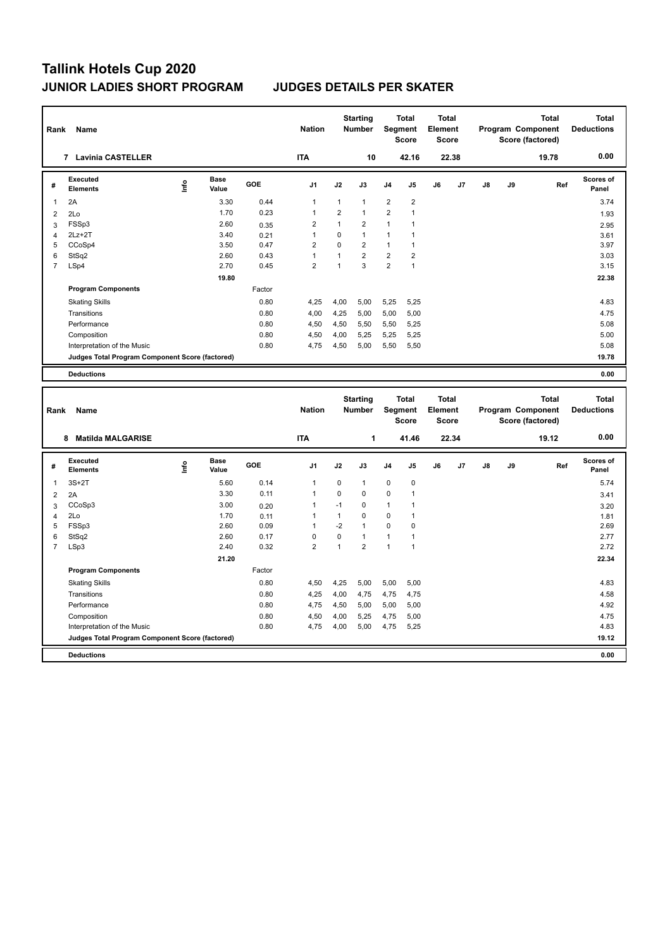| Rank           | Name                                            |      | <b>Nation</b>        |            | <b>Starting</b><br><b>Number</b> |                | <b>Total</b><br>Segment<br><b>Score</b> | <b>Total</b><br>Element<br><b>Score</b> |                |    |                | <b>Total</b><br>Program Component<br>Score (factored) | <b>Total</b><br><b>Deductions</b> |       |                           |
|----------------|-------------------------------------------------|------|----------------------|------------|----------------------------------|----------------|-----------------------------------------|-----------------------------------------|----------------|----|----------------|-------------------------------------------------------|-----------------------------------|-------|---------------------------|
|                | <b>Lavinia CASTELLER</b><br>7                   |      |                      |            | <b>ITA</b>                       |                | 10                                      |                                         | 42.16          |    | 22.38          |                                                       |                                   | 19.78 | 0.00                      |
| #              | Executed<br><b>Elements</b>                     | ١nf٥ | <b>Base</b><br>Value | <b>GOE</b> | J <sub>1</sub>                   | J2             | J3                                      | J <sub>4</sub>                          | J <sub>5</sub> | J6 | J <sub>7</sub> | $\mathsf{J}8$                                         | J9                                | Ref   | <b>Scores of</b><br>Panel |
| 1              | 2A                                              |      | 3.30                 | 0.44       | 1                                | 1              | $\overline{1}$                          | $\overline{2}$                          | $\overline{2}$ |    |                |                                                       |                                   |       | 3.74                      |
| 2              | 2Lo                                             |      | 1.70                 | 0.23       | 1                                | $\overline{2}$ | $\mathbf{1}$                            | $\overline{2}$                          | 1              |    |                |                                                       |                                   |       | 1.93                      |
| 3              | FSSp3                                           |      | 2.60                 | 0.35       | 2                                | 1              | $\overline{2}$                          | 1                                       | 1              |    |                |                                                       |                                   |       | 2.95                      |
| 4              | $2Lz+2T$                                        |      | 3.40                 | 0.21       | 1                                | $\Omega$       | $\mathbf{1}$                            | 1                                       | 1              |    |                |                                                       |                                   |       | 3.61                      |
| 5              | CCoSp4                                          |      | 3.50                 | 0.47       | $\overline{2}$                   | $\Omega$       | $\overline{2}$                          | $\mathbf{1}$                            | $\overline{1}$ |    |                |                                                       |                                   |       | 3.97                      |
| 6              | StSq2                                           |      | 2.60                 | 0.43       | 1                                | $\overline{1}$ | $\overline{2}$                          | $\overline{2}$                          | $\overline{2}$ |    |                |                                                       |                                   |       | 3.03                      |
| $\overline{7}$ | LSp4                                            |      | 2.70                 | 0.45       | $\overline{2}$                   | 1              | 3                                       | $\overline{2}$                          | 1              |    |                |                                                       |                                   |       | 3.15                      |
|                |                                                 |      | 19.80                |            |                                  |                |                                         |                                         |                |    |                |                                                       |                                   |       | 22.38                     |
|                | <b>Program Components</b>                       |      |                      | Factor     |                                  |                |                                         |                                         |                |    |                |                                                       |                                   |       |                           |
|                | <b>Skating Skills</b>                           |      |                      | 0.80       | 4.25                             | 4,00           | 5,00                                    | 5,25                                    | 5,25           |    |                |                                                       |                                   |       | 4.83                      |
|                | Transitions                                     |      |                      | 0.80       | 4.00                             | 4,25           | 5.00                                    | 5,00                                    | 5.00           |    |                |                                                       |                                   |       | 4.75                      |
|                | Performance                                     |      |                      | 0.80       | 4,50                             | 4,50           | 5,50                                    | 5,50                                    | 5,25           |    |                |                                                       |                                   |       | 5.08                      |
|                | Composition                                     |      |                      | 0.80       | 4,50                             | 4,00           | 5.25                                    | 5,25                                    | 5.25           |    |                |                                                       |                                   |       | 5.00                      |
|                | Interpretation of the Music                     |      |                      | 0.80       | 4.75                             | 4,50           | 5,00                                    | 5,50                                    | 5,50           |    |                |                                                       |                                   |       | 5.08                      |
|                | Judges Total Program Component Score (factored) |      |                      |            |                                  |                |                                         |                                         |                |    |                |                                                       |                                   |       | 19.78                     |
|                | <b>Deductions</b>                               |      |                      |            |                                  |                |                                         |                                         |                |    |                |                                                       |                                   |       | 0.00                      |
|                |                                                 |      |                      |            |                                  |                |                                         |                                         |                |    |                |                                                       |                                   |       |                           |

| Rank           | Name                                            |      |                      |            | <b>Nation</b>  |                | <b>Starting</b><br><b>Number</b> | Segment        | <b>Total</b><br><b>Score</b> | <b>Total</b><br>Element<br><b>Score</b> |       |    |    | <b>Total</b><br>Program Component<br>Score (factored) | <b>Total</b><br><b>Deductions</b> |
|----------------|-------------------------------------------------|------|----------------------|------------|----------------|----------------|----------------------------------|----------------|------------------------------|-----------------------------------------|-------|----|----|-------------------------------------------------------|-----------------------------------|
|                | <b>Matilda MALGARISE</b><br>8                   |      |                      |            | <b>ITA</b>     |                | 1                                |                | 41.46                        |                                         | 22.34 |    |    | 19.12                                                 | 0.00                              |
| #              | Executed<br><b>Elements</b>                     | lnfo | <b>Base</b><br>Value | <b>GOE</b> | J <sub>1</sub> | J2             | J3                               | J <sub>4</sub> | J <sub>5</sub>               | J6                                      | J7    | J8 | J9 | Ref                                                   | <b>Scores of</b><br>Panel         |
| $\overline{1}$ | $3S+2T$                                         |      | 5.60                 | 0.14       | 1              | 0              | $\mathbf{1}$                     | $\mathbf 0$    | $\mathbf 0$                  |                                         |       |    |    |                                                       | 5.74                              |
| $\overline{2}$ | 2A                                              |      | 3.30                 | 0.11       | 1              | 0              | 0                                | $\mathbf 0$    | 1                            |                                         |       |    |    |                                                       | 3.41                              |
| 3              | CCoSp3                                          |      | 3.00                 | 0.20       | 1              | $-1$           | 0                                | $\mathbf{1}$   | 1                            |                                         |       |    |    |                                                       | 3.20                              |
| 4              | 2Lo                                             |      | 1.70                 | 0.11       | 1              | 1              | $\mathbf 0$                      | 0              | 1                            |                                         |       |    |    |                                                       | 1.81                              |
| 5              | FSSp3                                           |      | 2.60                 | 0.09       | 1              | $-2$           | $\overline{1}$                   | $\Omega$       | $\Omega$                     |                                         |       |    |    |                                                       | 2.69                              |
| 6              | StSq2                                           |      | 2.60                 | 0.17       | 0              | 0              | $\overline{1}$                   | 1              |                              |                                         |       |    |    |                                                       | 2.77                              |
| $\overline{7}$ | LSp3                                            |      | 2.40                 | 0.32       | $\overline{2}$ | $\overline{1}$ | $\overline{2}$                   | $\overline{1}$ | 1                            |                                         |       |    |    |                                                       | 2.72                              |
|                |                                                 |      | 21.20                |            |                |                |                                  |                |                              |                                         |       |    |    |                                                       | 22.34                             |
|                | <b>Program Components</b>                       |      |                      | Factor     |                |                |                                  |                |                              |                                         |       |    |    |                                                       |                                   |
|                | <b>Skating Skills</b>                           |      |                      | 0.80       | 4,50           | 4,25           | 5,00                             | 5,00           | 5,00                         |                                         |       |    |    |                                                       | 4.83                              |
|                | Transitions                                     |      |                      | 0.80       | 4,25           | 4,00           | 4,75                             | 4,75           | 4,75                         |                                         |       |    |    |                                                       | 4.58                              |
|                | Performance                                     |      |                      | 0.80       | 4,75           | 4,50           | 5,00                             | 5,00           | 5,00                         |                                         |       |    |    |                                                       | 4.92                              |
|                | Composition                                     |      |                      | 0.80       | 4,50           | 4,00           | 5,25                             | 4,75           | 5,00                         |                                         |       |    |    |                                                       | 4.75                              |
|                | Interpretation of the Music                     |      |                      | 0.80       | 4,75           | 4,00           | 5,00                             | 4,75           | 5,25                         |                                         |       |    |    |                                                       | 4.83                              |
|                | Judges Total Program Component Score (factored) |      |                      |            |                |                |                                  |                |                              |                                         |       |    |    |                                                       | 19.12                             |
|                | <b>Deductions</b>                               |      |                      |            |                |                |                                  |                |                              |                                         |       |    |    |                                                       | 0.00                              |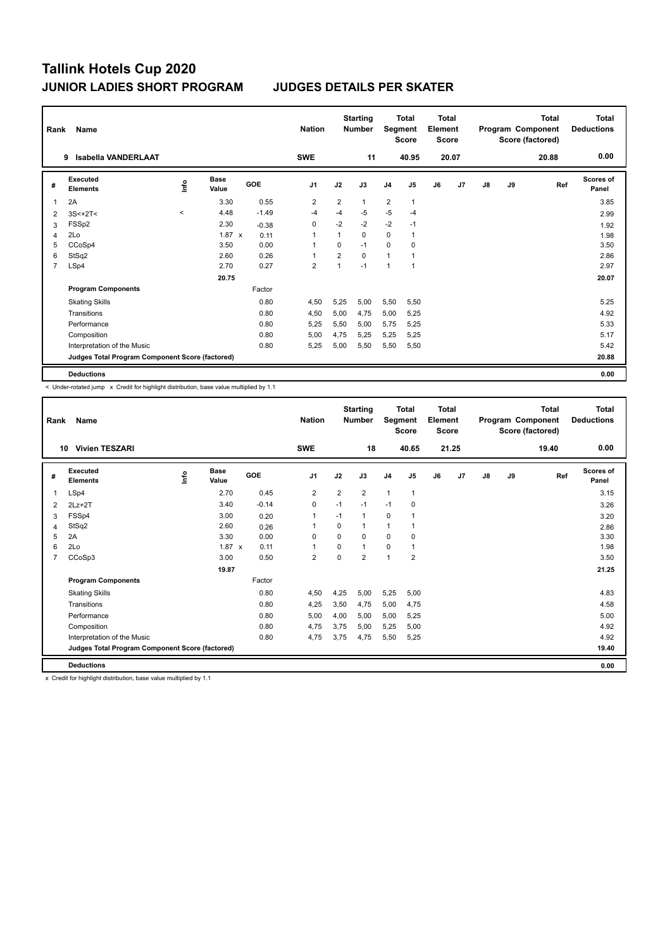| Rank | Name                                            |         |                      |         | <b>Nation</b>           |                | <b>Starting</b><br><b>Number</b> | Segment                 | <b>Total</b><br><b>Score</b> | <b>Total</b><br>Element<br><b>Score</b> |       |               |    | <b>Total</b><br>Program Component<br>Score (factored) | <b>Total</b><br><b>Deductions</b> |
|------|-------------------------------------------------|---------|----------------------|---------|-------------------------|----------------|----------------------------------|-------------------------|------------------------------|-----------------------------------------|-------|---------------|----|-------------------------------------------------------|-----------------------------------|
|      | Isabella VANDERLAAT<br>9.                       |         |                      |         | <b>SWE</b>              |                | 11                               |                         | 40.95                        |                                         | 20.07 |               |    | 20.88                                                 | 0.00                              |
| #    | Executed<br><b>Elements</b>                     | lnfo    | <b>Base</b><br>Value | GOE     | J <sub>1</sub>          | J2             | J3                               | J <sub>4</sub>          | J <sub>5</sub>               | J6                                      | J7    | $\mathsf{J}8$ | J9 | Ref                                                   | <b>Scores of</b><br>Panel         |
|      | 2A                                              |         | 3.30                 | 0.55    | $\overline{2}$          | 2              | $\mathbf{1}$                     | $\overline{\mathbf{c}}$ | $\overline{1}$               |                                         |       |               |    |                                                       | 3.85                              |
| 2    | $3S<+2T<$                                       | $\prec$ | 4.48                 | $-1.49$ | $-4$                    | $-4$           | $-5$                             | $-5$                    | $-4$                         |                                         |       |               |    |                                                       | 2.99                              |
| 3    | FSSp2                                           |         | 2.30                 | $-0.38$ | 0                       | $-2$           | $-2$                             | $-2$                    | $-1$                         |                                         |       |               |    |                                                       | 1.92                              |
| 4    | 2Lo                                             |         | $1.87 \times$        | 0.11    | 1                       | 1              | 0                                | 0                       |                              |                                         |       |               |    |                                                       | 1.98                              |
| 5    | CCoSp4                                          |         | 3.50                 | 0.00    | 1                       | 0              | $-1$                             | 0                       | 0                            |                                         |       |               |    |                                                       | 3.50                              |
| 6    | StSq2                                           |         | 2.60                 | 0.26    | 1                       | $\overline{2}$ | $\mathbf 0$                      | $\overline{1}$          | 1                            |                                         |       |               |    |                                                       | 2.86                              |
| 7    | LSp4                                            |         | 2.70                 | 0.27    | $\overline{\mathbf{c}}$ | $\overline{1}$ | $-1$                             | $\overline{1}$          | $\overline{1}$               |                                         |       |               |    |                                                       | 2.97                              |
|      |                                                 |         | 20.75                |         |                         |                |                                  |                         |                              |                                         |       |               |    |                                                       | 20.07                             |
|      | <b>Program Components</b>                       |         |                      | Factor  |                         |                |                                  |                         |                              |                                         |       |               |    |                                                       |                                   |
|      | <b>Skating Skills</b>                           |         |                      | 0.80    | 4,50                    | 5,25           | 5.00                             | 5,50                    | 5,50                         |                                         |       |               |    |                                                       | 5.25                              |
|      | Transitions                                     |         |                      | 0.80    | 4,50                    | 5,00           | 4,75                             | 5,00                    | 5,25                         |                                         |       |               |    |                                                       | 4.92                              |
|      | Performance                                     |         |                      | 0.80    | 5.25                    | 5.50           | 5.00                             | 5,75                    | 5.25                         |                                         |       |               |    |                                                       | 5.33                              |
|      | Composition                                     |         |                      | 0.80    | 5,00                    | 4,75           | 5,25                             | 5,25                    | 5,25                         |                                         |       |               |    |                                                       | 5.17                              |
|      | Interpretation of the Music                     |         |                      | 0.80    | 5,25                    | 5,00           | 5,50                             | 5,50                    | 5,50                         |                                         |       |               |    |                                                       | 5.42                              |
|      | Judges Total Program Component Score (factored) |         |                      |         |                         |                |                                  |                         |                              |                                         |       |               |    |                                                       | 20.88                             |
|      | <b>Deductions</b>                               |         |                      |         |                         |                |                                  |                         |                              |                                         |       |               |    |                                                       | 0.00                              |

< Under-rotated jump x Credit for highlight distribution, base value multiplied by 1.1

| Rank | Name                                            |      |               |         | <b>Nation</b>  |                | <b>Starting</b><br><b>Number</b> | Segment        | <b>Total</b><br><b>Score</b> | Total<br>Element<br><b>Score</b> |                |    |    | <b>Total</b><br>Program Component<br>Score (factored) | Total<br><b>Deductions</b> |
|------|-------------------------------------------------|------|---------------|---------|----------------|----------------|----------------------------------|----------------|------------------------------|----------------------------------|----------------|----|----|-------------------------------------------------------|----------------------------|
|      | <b>Vivien TESZARI</b><br>10                     |      |               |         | <b>SWE</b>     |                | 18                               |                | 40.65                        |                                  | 21.25          |    |    | 19.40                                                 | 0.00                       |
| #    | Executed<br><b>Elements</b>                     | ١nfo | Base<br>Value | GOE     | J <sub>1</sub> | J2             | J3                               | J <sub>4</sub> | J5                           | J6                               | J <sub>7</sub> | J8 | J9 | Ref                                                   | Scores of<br>Panel         |
| 1    | LSp4                                            |      | 2.70          | 0.45    | $\overline{2}$ | $\overline{2}$ | $\overline{2}$                   | $\mathbf{1}$   | $\mathbf{1}$                 |                                  |                |    |    |                                                       | 3.15                       |
| 2    | $2Lz+2T$                                        |      | 3.40          | $-0.14$ | 0              | $-1$           | $-1$                             | $-1$           | 0                            |                                  |                |    |    |                                                       | 3.26                       |
| 3    | FSSp4                                           |      | 3.00          | 0.20    | 1              | $-1$           | $\mathbf{1}$                     | 0              | 1                            |                                  |                |    |    |                                                       | 3.20                       |
| 4    | StSq2                                           |      | 2.60          | 0.26    | 1              | $\Omega$       | $\mathbf 1$                      | $\mathbf{1}$   | 1                            |                                  |                |    |    |                                                       | 2.86                       |
| 5    | 2A                                              |      | 3.30          | 0.00    | $\Omega$       | $\Omega$       | $\Omega$                         | $\Omega$       | $\Omega$                     |                                  |                |    |    |                                                       | 3.30                       |
| 6    | 2Lo                                             |      | $1.87 \times$ | 0.11    | 1              | 0              | 1                                | 0              | 1                            |                                  |                |    |    |                                                       | 1.98                       |
| 7    | CCoSp3                                          |      | 3.00          | 0.50    | 2              | 0              | $\overline{2}$                   | $\mathbf{1}$   | $\overline{2}$               |                                  |                |    |    |                                                       | 3.50                       |
|      |                                                 |      | 19.87         |         |                |                |                                  |                |                              |                                  |                |    |    |                                                       | 21.25                      |
|      | <b>Program Components</b>                       |      |               | Factor  |                |                |                                  |                |                              |                                  |                |    |    |                                                       |                            |
|      | <b>Skating Skills</b>                           |      |               | 0.80    | 4,50           | 4,25           | 5,00                             | 5,25           | 5,00                         |                                  |                |    |    |                                                       | 4.83                       |
|      | Transitions                                     |      |               | 0.80    | 4,25           | 3,50           | 4,75                             | 5,00           | 4,75                         |                                  |                |    |    |                                                       | 4.58                       |
|      | Performance                                     |      |               | 0.80    | 5,00           | 4,00           | 5,00                             | 5,00           | 5,25                         |                                  |                |    |    |                                                       | 5.00                       |
|      | Composition                                     |      |               | 0.80    | 4,75           | 3,75           | 5,00                             | 5,25           | 5,00                         |                                  |                |    |    |                                                       | 4.92                       |
|      | Interpretation of the Music                     |      |               | 0.80    | 4,75           | 3,75           | 4,75                             | 5,50           | 5,25                         |                                  |                |    |    |                                                       | 4.92                       |
|      | Judges Total Program Component Score (factored) |      |               |         |                |                |                                  |                |                              |                                  |                |    |    |                                                       | 19.40                      |
|      | <b>Deductions</b>                               |      |               |         |                |                |                                  |                |                              |                                  |                |    |    |                                                       | 0.00                       |

x Credit for highlight distribution, base value multiplied by 1.1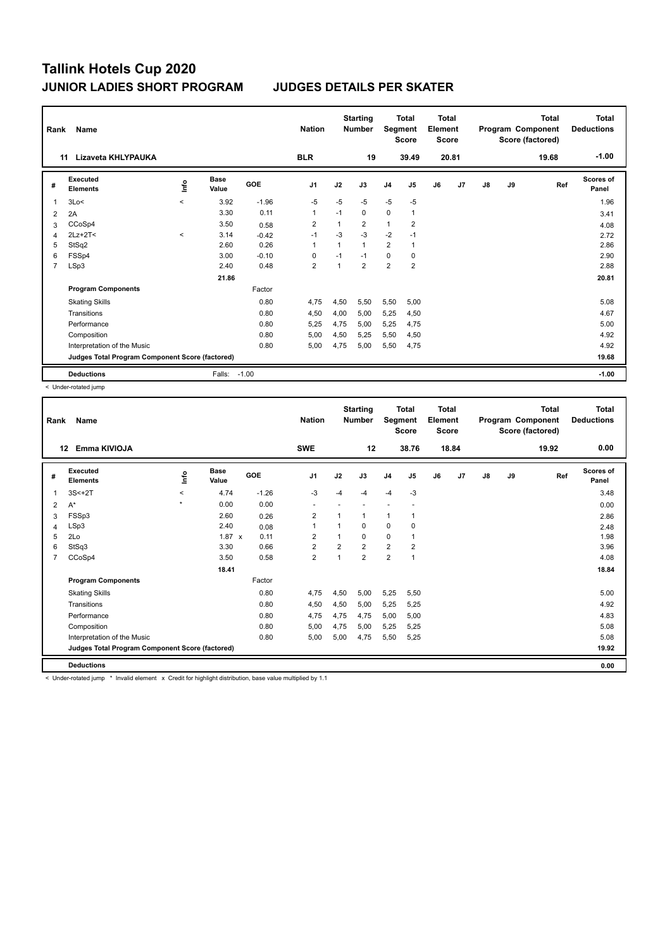| Rank           | Name                                            |         |                      |         | <b>Nation</b>  |                | <b>Starting</b><br><b>Number</b> | Segment                 | <b>Total</b><br><b>Score</b> | <b>Total</b><br>Element<br><b>Score</b> |       |               |    | <b>Total</b><br>Program Component<br>Score (factored) | <b>Total</b><br><b>Deductions</b> |
|----------------|-------------------------------------------------|---------|----------------------|---------|----------------|----------------|----------------------------------|-------------------------|------------------------------|-----------------------------------------|-------|---------------|----|-------------------------------------------------------|-----------------------------------|
|                | Lizaveta KHLYPAUKA<br>11                        |         |                      |         | <b>BLR</b>     |                | 19                               |                         | 39.49                        |                                         | 20.81 |               |    | 19.68                                                 | $-1.00$                           |
| #              | Executed<br><b>Elements</b>                     | lnfo    | <b>Base</b><br>Value | GOE     | J <sub>1</sub> | J2             | J3                               | J <sub>4</sub>          | J <sub>5</sub>               | J6                                      | J7    | $\mathsf{J}8$ | J9 | Ref                                                   | Scores of<br>Panel                |
| 1              | 3Lo<                                            | $\prec$ | 3.92                 | $-1.96$ | $-5$           | $-5$           | $-5$                             | $-5$                    | $-5$                         |                                         |       |               |    |                                                       | 1.96                              |
| $\overline{2}$ | 2A                                              |         | 3.30                 | 0.11    | 1              | $-1$           | 0                                | $\mathbf 0$             | $\mathbf{1}$                 |                                         |       |               |    |                                                       | 3.41                              |
| 3              | CCoSp4                                          |         | 3.50                 | 0.58    | $\overline{2}$ | $\overline{1}$ | $\overline{2}$                   | $\mathbf{1}$            | $\overline{\mathbf{c}}$      |                                         |       |               |    |                                                       | 4.08                              |
| 4              | $2Lz+2T2$                                       | $\prec$ | 3.14                 | $-0.42$ | $-1$           | $-3$           | $-3$                             | $-2$                    | $-1$                         |                                         |       |               |    |                                                       | 2.72                              |
| 5              | StSq2                                           |         | 2.60                 | 0.26    | 1              | $\overline{1}$ | $\mathbf{1}$                     | $\overline{2}$          | $\overline{1}$               |                                         |       |               |    |                                                       | 2.86                              |
| 6              | FSSp4                                           |         | 3.00                 | $-0.10$ | 0              | $-1$           | $-1$                             | 0                       | 0                            |                                         |       |               |    |                                                       | 2.90                              |
| $\overline{7}$ | LSp3                                            |         | 2.40                 | 0.48    | 2              | 1              | $\overline{2}$                   | $\overline{\mathbf{c}}$ | $\overline{\mathbf{c}}$      |                                         |       |               |    |                                                       | 2.88                              |
|                |                                                 |         | 21.86                |         |                |                |                                  |                         |                              |                                         |       |               |    |                                                       | 20.81                             |
|                | <b>Program Components</b>                       |         |                      | Factor  |                |                |                                  |                         |                              |                                         |       |               |    |                                                       |                                   |
|                | <b>Skating Skills</b>                           |         |                      | 0.80    | 4.75           | 4,50           | 5,50                             | 5,50                    | 5,00                         |                                         |       |               |    |                                                       | 5.08                              |
|                | Transitions                                     |         |                      | 0.80    | 4,50           | 4,00           | 5,00                             | 5,25                    | 4,50                         |                                         |       |               |    |                                                       | 4.67                              |
|                | Performance                                     |         |                      | 0.80    | 5,25           | 4,75           | 5,00                             | 5,25                    | 4,75                         |                                         |       |               |    |                                                       | 5.00                              |
|                | Composition                                     |         |                      | 0.80    | 5,00           | 4,50           | 5,25                             | 5,50                    | 4,50                         |                                         |       |               |    |                                                       | 4.92                              |
|                | Interpretation of the Music                     |         |                      | 0.80    | 5,00           | 4,75           | 5,00                             | 5,50                    | 4,75                         |                                         |       |               |    |                                                       | 4.92                              |
|                | Judges Total Program Component Score (factored) |         |                      |         |                |                |                                  |                         |                              |                                         |       |               |    |                                                       | 19.68                             |
|                | <b>Deductions</b>                               |         | Falls:               | $-1.00$ |                |                |                                  |                         |                              |                                         |       |               |    |                                                       | $-1.00$                           |

< Under-rotated jump

| Rank           | Name<br>Emma KIVIOJA<br>12                      |             |                      |         | <b>Nation</b>           |                | <b>Starting</b><br><b>Number</b> | Segment        | <b>Total</b><br><b>Score</b> | <b>Total</b><br>Element<br><b>Score</b> |       |    |    | <b>Total</b><br>Program Component<br>Score (factored) | <b>Total</b><br><b>Deductions</b> |
|----------------|-------------------------------------------------|-------------|----------------------|---------|-------------------------|----------------|----------------------------------|----------------|------------------------------|-----------------------------------------|-------|----|----|-------------------------------------------------------|-----------------------------------|
|                |                                                 |             |                      |         | <b>SWE</b>              |                | 12                               |                | 38.76                        |                                         | 18.84 |    |    | 19.92                                                 | 0.00                              |
| #              | Executed<br><b>Elements</b>                     | <u>info</u> | <b>Base</b><br>Value | GOE     | J <sub>1</sub>          | J2             | J3                               | J <sub>4</sub> | J <sub>5</sub>               | J6                                      | J7    | J8 | J9 | Ref                                                   | <b>Scores of</b><br>Panel         |
| 1              | $3S<+2T$                                        | $\prec$     | 4.74                 | $-1.26$ | -3                      | $-4$           | $-4$                             | $-4$           | $-3$                         |                                         |       |    |    |                                                       | 3.48                              |
| 2              | A*                                              | $\star$     | 0.00                 | 0.00    | ٠                       |                |                                  | ÷              |                              |                                         |       |    |    |                                                       | 0.00                              |
| 3              | FSSp3                                           |             | 2.60                 | 0.26    | $\overline{\mathbf{c}}$ |                | 1                                | $\mathbf{1}$   | 1                            |                                         |       |    |    |                                                       | 2.86                              |
| 4              | LSp3                                            |             | 2.40                 | 0.08    | $\mathbf{1}$            |                | 0                                | $\mathbf 0$    | 0                            |                                         |       |    |    |                                                       | 2.48                              |
| 5              | 2Lo                                             |             | $1.87 \times$        | 0.11    | 2                       |                | 0                                | $\Omega$       | $\mathbf{1}$                 |                                         |       |    |    |                                                       | 1.98                              |
| 6              | StSq3                                           |             | 3.30                 | 0.66    | $\overline{2}$          | $\overline{2}$ | $\overline{2}$                   | $\overline{2}$ | $\overline{2}$               |                                         |       |    |    |                                                       | 3.96                              |
| $\overline{7}$ | CCoSp4                                          |             | 3.50                 | 0.58    | $\overline{2}$          | $\overline{ }$ | $\overline{2}$                   | $\overline{2}$ | $\mathbf{1}$                 |                                         |       |    |    |                                                       | 4.08                              |
|                |                                                 |             | 18.41                |         |                         |                |                                  |                |                              |                                         |       |    |    |                                                       | 18.84                             |
|                | <b>Program Components</b>                       |             |                      | Factor  |                         |                |                                  |                |                              |                                         |       |    |    |                                                       |                                   |
|                | <b>Skating Skills</b>                           |             |                      | 0.80    | 4,75                    | 4,50           | 5,00                             | 5,25           | 5,50                         |                                         |       |    |    |                                                       | 5.00                              |
|                | Transitions                                     |             |                      | 0.80    | 4,50                    | 4,50           | 5,00                             | 5,25           | 5,25                         |                                         |       |    |    |                                                       | 4.92                              |
|                | Performance                                     |             |                      | 0.80    | 4,75                    | 4,75           | 4,75                             | 5,00           | 5,00                         |                                         |       |    |    |                                                       | 4.83                              |
|                | Composition                                     |             |                      | 0.80    | 5,00                    | 4,75           | 5,00                             | 5,25           | 5,25                         |                                         |       |    |    |                                                       | 5.08                              |
|                | Interpretation of the Music                     |             |                      | 0.80    | 5,00                    | 5,00           | 4,75                             | 5,50           | 5,25                         |                                         |       |    |    |                                                       | 5.08                              |
|                | Judges Total Program Component Score (factored) |             |                      |         |                         |                |                                  |                |                              |                                         |       |    |    |                                                       | 19.92                             |
|                | <b>Deductions</b>                               |             |                      |         |                         |                |                                  |                |                              |                                         |       |    |    |                                                       | 0.00                              |
|                | .                                               |             |                      |         |                         |                |                                  |                |                              |                                         |       |    |    |                                                       |                                   |

Under-rotated jump \* Invalid element x Credit for highlight distribution, base value multiplied by 1.1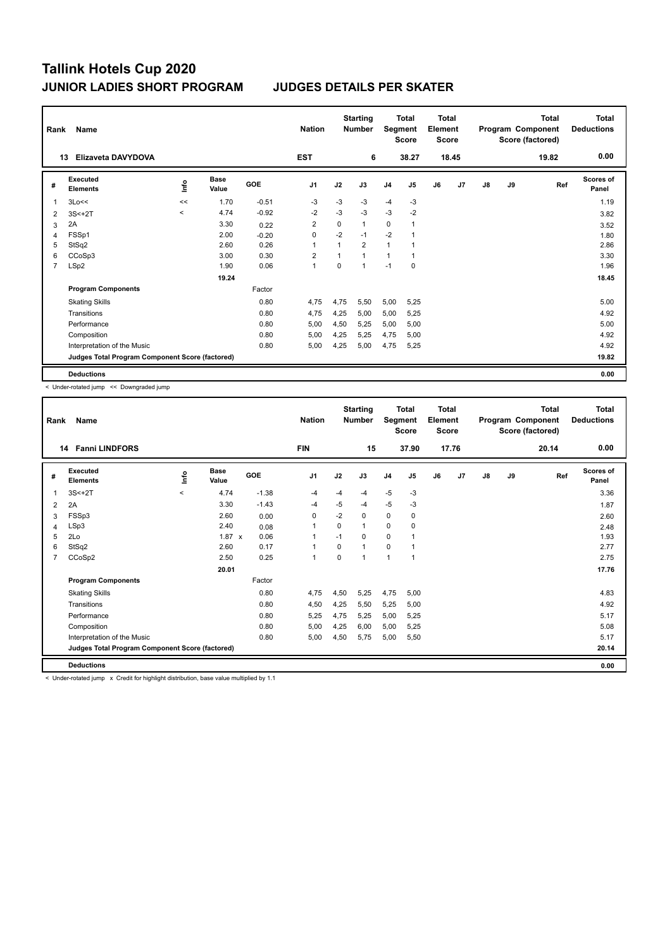| Rank           | Name                                            |                          |                      |         | <b>Nation</b>  |             | <b>Starting</b><br><b>Number</b> | <b>Total</b><br>Segment<br><b>Score</b> |                | <b>Total</b><br>Element<br><b>Score</b> |       | Program Component<br>Score (factored) |    | <b>Total</b> | <b>Total</b><br><b>Deductions</b> |
|----------------|-------------------------------------------------|--------------------------|----------------------|---------|----------------|-------------|----------------------------------|-----------------------------------------|----------------|-----------------------------------------|-------|---------------------------------------|----|--------------|-----------------------------------|
|                | Elizaveta DAVYDOVA<br>13                        |                          |                      |         | <b>EST</b>     |             | 6                                |                                         | 38.27          |                                         | 18.45 |                                       |    | 19.82        | 0.00                              |
| #              | Executed<br><b>Elements</b>                     | lnfo                     | <b>Base</b><br>Value | GOE     | J <sub>1</sub> | J2          | J3                               | J <sub>4</sub>                          | J <sub>5</sub> | J6                                      | J7    | J8                                    | J9 | Ref          | <b>Scores of</b><br>Panel         |
| 1              | 3Lo<<                                           | <<                       | 1.70                 | $-0.51$ | $-3$           | $-3$        | -3                               | $-4$                                    | -3             |                                         |       |                                       |    |              | 1.19                              |
| 2              | $3S<+2T$                                        | $\overline{\phantom{a}}$ | 4.74                 | $-0.92$ | $-2$           | $-3$        | $-3$                             | $-3$                                    | $-2$           |                                         |       |                                       |    |              | 3.82                              |
| 3              | 2A                                              |                          | 3.30                 | 0.22    | $\overline{2}$ | 0           | $\mathbf{1}$                     | 0                                       |                |                                         |       |                                       |    |              | 3.52                              |
| 4              | FSSp1                                           |                          | 2.00                 | $-0.20$ | $\mathbf 0$    | $-2$        | $-1$                             | $-2$                                    |                |                                         |       |                                       |    |              | 1.80                              |
| 5              | StSq2                                           |                          | 2.60                 | 0.26    | 1              | $\mathbf 1$ | $\overline{2}$                   | 1                                       |                |                                         |       |                                       |    |              | 2.86                              |
| 6              | CCoSp3                                          |                          | 3.00                 | 0.30    | $\overline{2}$ | $\mathbf 1$ | $\mathbf{1}$                     | 1                                       |                |                                         |       |                                       |    |              | 3.30                              |
| $\overline{7}$ | LSp2                                            |                          | 1.90                 | 0.06    | $\mathbf{1}$   | 0           | 1                                | $-1$                                    | $\mathbf 0$    |                                         |       |                                       |    |              | 1.96                              |
|                |                                                 |                          | 19.24                |         |                |             |                                  |                                         |                |                                         |       |                                       |    |              | 18.45                             |
|                | <b>Program Components</b>                       |                          |                      | Factor  |                |             |                                  |                                         |                |                                         |       |                                       |    |              |                                   |
|                | <b>Skating Skills</b>                           |                          |                      | 0.80    | 4.75           | 4,75        | 5,50                             | 5,00                                    | 5,25           |                                         |       |                                       |    |              | 5.00                              |
|                | Transitions                                     |                          |                      | 0.80    | 4,75           | 4,25        | 5,00                             | 5,00                                    | 5,25           |                                         |       |                                       |    |              | 4.92                              |
|                | Performance                                     |                          |                      | 0.80    | 5.00           | 4,50        | 5.25                             | 5,00                                    | 5,00           |                                         |       |                                       |    |              | 5.00                              |
|                | Composition                                     |                          |                      | 0.80    | 5,00           | 4,25        | 5,25                             | 4,75                                    | 5,00           |                                         |       |                                       |    |              | 4.92                              |
|                | Interpretation of the Music                     |                          |                      | 0.80    | 5,00           | 4,25        | 5,00                             | 4,75                                    | 5,25           |                                         |       |                                       |    |              | 4.92                              |
|                | Judges Total Program Component Score (factored) |                          |                      |         |                |             |                                  |                                         |                |                                         |       |                                       |    |              | 19.82                             |
|                | <b>Deductions</b>                               |                          |                      |         |                |             |                                  |                                         |                |                                         |       |                                       |    |              | 0.00                              |

< Under-rotated jump << Downgraded jump

| 0.00<br>17.76<br><b>14 Fanni LINDFORS</b><br><b>FIN</b><br>15<br>37.90<br>20.14<br>Executed<br><b>Scores of</b><br><b>Base</b><br><u>info</u><br>GOE<br>J <sub>1</sub><br>J2<br>J6<br>J7<br>J3<br>J <sub>4</sub><br>J5<br>$\mathsf{J}8$<br>J9<br>Ref<br>#<br><b>Elements</b><br>Value<br>Panel<br>$-1.38$<br>$-5$<br>$3S<+2T$<br>4.74<br>$-3$<br>3.36<br>$-4$<br>$\prec$<br>$-4$<br>$-4$<br>1<br>$-5$<br>$-5$<br>3.30<br>$-1.43$<br>-3<br>$-4$<br>$-4$<br>2A<br>1.87<br>2<br>$-2$<br>$\mathbf 0$<br>FSSp3<br>2.60<br>0<br>0<br>0<br>0.00<br>2.60<br>3<br>LSp3<br>2.40<br>$\Omega$<br>0<br>$\mathbf{1}$<br>1<br>0<br>0.08<br>2.48<br>4<br>2Lo<br>1.87 x<br>0.06<br>0<br>0<br>1.93<br>$\mathbf{1}$<br>$-1$<br>5<br>StSq2<br>2.60<br>0.17<br>$\mathbf 0$<br>2.77<br>$\mathbf{1}$<br>$\Omega$<br>1<br>6<br>0.25<br>CCoSp2<br>2.50<br>$\mathbf{1}$<br>$\Omega$<br>1<br>$\mathbf{1}$<br>2.75<br>$\overline{7}$<br>1<br>17.76<br>20.01<br>Factor<br><b>Program Components</b><br>0.80<br>4,75<br>4,50<br>5.25<br>4,75<br>4.83<br><b>Skating Skills</b><br>5,00<br>0.80<br>4,50<br>4,25<br>5,25<br>4.92<br>Transitions<br>5,50<br>5,00<br>5,00<br>5.17<br>Performance<br>0.80<br>5,25<br>4,75<br>5,25<br>5,25<br>5.08<br>0.80<br>5,00<br>4,25<br>5,00<br>5,25<br>Composition<br>6,00<br>5.17<br>Interpretation of the Music<br>0.80<br>5,00<br>4,50<br>5,75<br>5,00<br>5,50<br>Judges Total Program Component Score (factored)<br>20.14 | Rank | Name              |  |  |  | <b>Nation</b> | <b>Starting</b><br><b>Number</b> | <b>Total</b><br>Segment<br><b>Score</b> |  | Total<br>Element<br><b>Score</b> |  | <b>Total</b><br>Program Component<br>Score (factored) |  |  | <b>Total</b><br><b>Deductions</b> |
|---------------------------------------------------------------------------------------------------------------------------------------------------------------------------------------------------------------------------------------------------------------------------------------------------------------------------------------------------------------------------------------------------------------------------------------------------------------------------------------------------------------------------------------------------------------------------------------------------------------------------------------------------------------------------------------------------------------------------------------------------------------------------------------------------------------------------------------------------------------------------------------------------------------------------------------------------------------------------------------------------------------------------------------------------------------------------------------------------------------------------------------------------------------------------------------------------------------------------------------------------------------------------------------------------------------------------------------------------------------------------------------------------------------------------------|------|-------------------|--|--|--|---------------|----------------------------------|-----------------------------------------|--|----------------------------------|--|-------------------------------------------------------|--|--|-----------------------------------|
|                                                                                                                                                                                                                                                                                                                                                                                                                                                                                                                                                                                                                                                                                                                                                                                                                                                                                                                                                                                                                                                                                                                                                                                                                                                                                                                                                                                                                                 |      |                   |  |  |  |               |                                  |                                         |  |                                  |  |                                                       |  |  |                                   |
|                                                                                                                                                                                                                                                                                                                                                                                                                                                                                                                                                                                                                                                                                                                                                                                                                                                                                                                                                                                                                                                                                                                                                                                                                                                                                                                                                                                                                                 |      |                   |  |  |  |               |                                  |                                         |  |                                  |  |                                                       |  |  |                                   |
|                                                                                                                                                                                                                                                                                                                                                                                                                                                                                                                                                                                                                                                                                                                                                                                                                                                                                                                                                                                                                                                                                                                                                                                                                                                                                                                                                                                                                                 |      |                   |  |  |  |               |                                  |                                         |  |                                  |  |                                                       |  |  |                                   |
|                                                                                                                                                                                                                                                                                                                                                                                                                                                                                                                                                                                                                                                                                                                                                                                                                                                                                                                                                                                                                                                                                                                                                                                                                                                                                                                                                                                                                                 |      |                   |  |  |  |               |                                  |                                         |  |                                  |  |                                                       |  |  |                                   |
|                                                                                                                                                                                                                                                                                                                                                                                                                                                                                                                                                                                                                                                                                                                                                                                                                                                                                                                                                                                                                                                                                                                                                                                                                                                                                                                                                                                                                                 |      |                   |  |  |  |               |                                  |                                         |  |                                  |  |                                                       |  |  |                                   |
|                                                                                                                                                                                                                                                                                                                                                                                                                                                                                                                                                                                                                                                                                                                                                                                                                                                                                                                                                                                                                                                                                                                                                                                                                                                                                                                                                                                                                                 |      |                   |  |  |  |               |                                  |                                         |  |                                  |  |                                                       |  |  |                                   |
|                                                                                                                                                                                                                                                                                                                                                                                                                                                                                                                                                                                                                                                                                                                                                                                                                                                                                                                                                                                                                                                                                                                                                                                                                                                                                                                                                                                                                                 |      |                   |  |  |  |               |                                  |                                         |  |                                  |  |                                                       |  |  |                                   |
|                                                                                                                                                                                                                                                                                                                                                                                                                                                                                                                                                                                                                                                                                                                                                                                                                                                                                                                                                                                                                                                                                                                                                                                                                                                                                                                                                                                                                                 |      |                   |  |  |  |               |                                  |                                         |  |                                  |  |                                                       |  |  |                                   |
|                                                                                                                                                                                                                                                                                                                                                                                                                                                                                                                                                                                                                                                                                                                                                                                                                                                                                                                                                                                                                                                                                                                                                                                                                                                                                                                                                                                                                                 |      |                   |  |  |  |               |                                  |                                         |  |                                  |  |                                                       |  |  |                                   |
|                                                                                                                                                                                                                                                                                                                                                                                                                                                                                                                                                                                                                                                                                                                                                                                                                                                                                                                                                                                                                                                                                                                                                                                                                                                                                                                                                                                                                                 |      |                   |  |  |  |               |                                  |                                         |  |                                  |  |                                                       |  |  |                                   |
|                                                                                                                                                                                                                                                                                                                                                                                                                                                                                                                                                                                                                                                                                                                                                                                                                                                                                                                                                                                                                                                                                                                                                                                                                                                                                                                                                                                                                                 |      |                   |  |  |  |               |                                  |                                         |  |                                  |  |                                                       |  |  |                                   |
|                                                                                                                                                                                                                                                                                                                                                                                                                                                                                                                                                                                                                                                                                                                                                                                                                                                                                                                                                                                                                                                                                                                                                                                                                                                                                                                                                                                                                                 |      |                   |  |  |  |               |                                  |                                         |  |                                  |  |                                                       |  |  |                                   |
|                                                                                                                                                                                                                                                                                                                                                                                                                                                                                                                                                                                                                                                                                                                                                                                                                                                                                                                                                                                                                                                                                                                                                                                                                                                                                                                                                                                                                                 |      |                   |  |  |  |               |                                  |                                         |  |                                  |  |                                                       |  |  |                                   |
|                                                                                                                                                                                                                                                                                                                                                                                                                                                                                                                                                                                                                                                                                                                                                                                                                                                                                                                                                                                                                                                                                                                                                                                                                                                                                                                                                                                                                                 |      |                   |  |  |  |               |                                  |                                         |  |                                  |  |                                                       |  |  |                                   |
|                                                                                                                                                                                                                                                                                                                                                                                                                                                                                                                                                                                                                                                                                                                                                                                                                                                                                                                                                                                                                                                                                                                                                                                                                                                                                                                                                                                                                                 |      |                   |  |  |  |               |                                  |                                         |  |                                  |  |                                                       |  |  |                                   |
|                                                                                                                                                                                                                                                                                                                                                                                                                                                                                                                                                                                                                                                                                                                                                                                                                                                                                                                                                                                                                                                                                                                                                                                                                                                                                                                                                                                                                                 |      |                   |  |  |  |               |                                  |                                         |  |                                  |  |                                                       |  |  |                                   |
|                                                                                                                                                                                                                                                                                                                                                                                                                                                                                                                                                                                                                                                                                                                                                                                                                                                                                                                                                                                                                                                                                                                                                                                                                                                                                                                                                                                                                                 |      |                   |  |  |  |               |                                  |                                         |  |                                  |  |                                                       |  |  |                                   |
|                                                                                                                                                                                                                                                                                                                                                                                                                                                                                                                                                                                                                                                                                                                                                                                                                                                                                                                                                                                                                                                                                                                                                                                                                                                                                                                                                                                                                                 |      | <b>Deductions</b> |  |  |  |               |                                  |                                         |  |                                  |  |                                                       |  |  | 0.00                              |

< Under-rotated jump x Credit for highlight distribution, base value multiplied by 1.1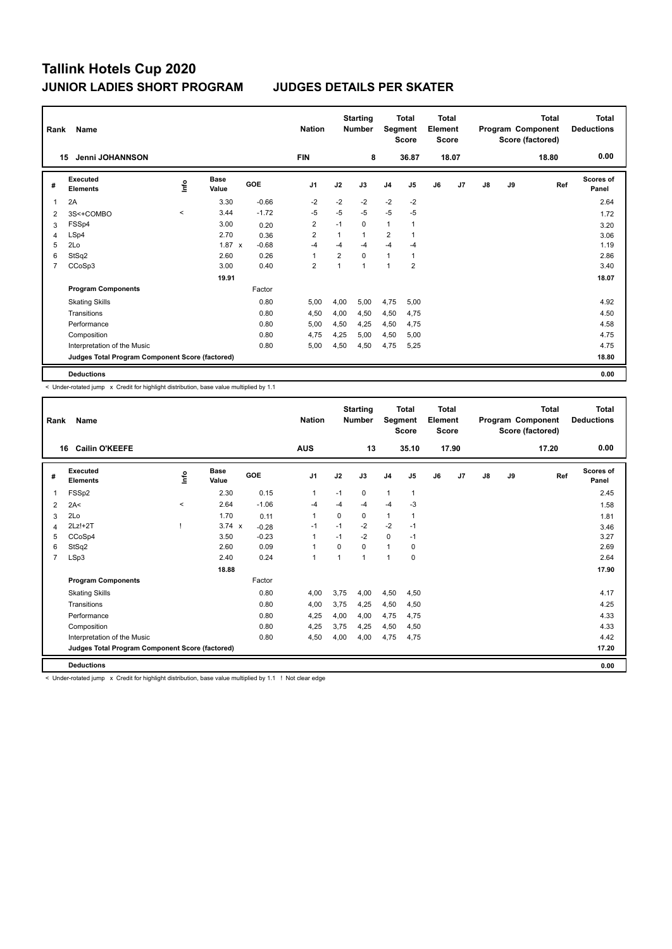| Rank           | Name                                            |              |                      |         | <b>Nation</b>           |                | <b>Starting</b><br><b>Number</b> |                | <b>Total</b><br>Segment<br><b>Score</b> | <b>Total</b><br>Element<br><b>Score</b> |       | Program Component |    | <b>Total</b><br>Score (factored) | <b>Total</b><br><b>Deductions</b> |
|----------------|-------------------------------------------------|--------------|----------------------|---------|-------------------------|----------------|----------------------------------|----------------|-----------------------------------------|-----------------------------------------|-------|-------------------|----|----------------------------------|-----------------------------------|
|                | <b>Jenni JOHANNSON</b><br>15                    |              |                      |         | <b>FIN</b>              |                | 8                                |                | 36.87                                   |                                         | 18.07 |                   |    | 18.80                            | 0.00                              |
| #              | Executed<br><b>Elements</b>                     | lnfo         | <b>Base</b><br>Value | GOE     | J <sub>1</sub>          | J2             | J3                               | J <sub>4</sub> | J <sub>5</sub>                          | J6                                      | J7    | J8                | J9 | Ref                              | <b>Scores of</b><br>Panel         |
| 1              | 2A                                              |              | 3.30                 | $-0.66$ | $-2$                    | $-2$           | $-2$                             | $-2$           | $-2$                                    |                                         |       |                   |    |                                  | 2.64                              |
| 2              | 3S<+COMBO                                       | $\checkmark$ | 3.44                 | $-1.72$ | $-5$                    | $-5$           | $-5$                             | $-5$           | $-5$                                    |                                         |       |                   |    |                                  | 1.72                              |
| 3              | FSSp4                                           |              | 3.00                 | 0.20    | $\overline{\mathbf{c}}$ | $-1$           | $\Omega$                         | 1              |                                         |                                         |       |                   |    |                                  | 3.20                              |
| 4              | LSp4                                            |              | 2.70                 | 0.36    | $\overline{2}$          | 1              | $\overline{1}$                   | $\overline{2}$ |                                         |                                         |       |                   |    |                                  | 3.06                              |
| 5              | 2Lo                                             |              | $1.87 \times$        | $-0.68$ | $-4$                    | $-4$           | -4                               | $-4$           | $-4$                                    |                                         |       |                   |    |                                  | 1.19                              |
| 6              | StSq2                                           |              | 2.60                 | 0.26    | 1                       | $\overline{2}$ | 0                                | 1              | 1                                       |                                         |       |                   |    |                                  | 2.86                              |
| $\overline{7}$ | CCoSp3                                          |              | 3.00                 | 0.40    | $\overline{2}$          | $\overline{1}$ | 1                                | 1              | $\overline{2}$                          |                                         |       |                   |    |                                  | 3.40                              |
|                |                                                 |              | 19.91                |         |                         |                |                                  |                |                                         |                                         |       |                   |    |                                  | 18.07                             |
|                | <b>Program Components</b>                       |              |                      | Factor  |                         |                |                                  |                |                                         |                                         |       |                   |    |                                  |                                   |
|                | <b>Skating Skills</b>                           |              |                      | 0.80    | 5.00                    | 4,00           | 5,00                             | 4,75           | 5,00                                    |                                         |       |                   |    |                                  | 4.92                              |
|                | Transitions                                     |              |                      | 0.80    | 4,50                    | 4,00           | 4,50                             | 4,50           | 4,75                                    |                                         |       |                   |    |                                  | 4.50                              |
|                | Performance                                     |              |                      | 0.80    | 5.00                    | 4,50           | 4.25                             | 4,50           | 4,75                                    |                                         |       |                   |    |                                  | 4.58                              |
|                | Composition                                     |              |                      | 0.80    | 4,75                    | 4,25           | 5,00                             | 4,50           | 5,00                                    |                                         |       |                   |    |                                  | 4.75                              |
|                | Interpretation of the Music                     |              |                      | 0.80    | 5,00                    | 4,50           | 4,50                             | 4,75           | 5,25                                    |                                         |       |                   |    |                                  | 4.75                              |
|                | Judges Total Program Component Score (factored) |              |                      |         |                         |                |                                  |                |                                         |                                         |       |                   |    |                                  | 18.80                             |
|                | <b>Deductions</b>                               |              |                      |         |                         |                |                                  |                |                                         |                                         |       |                   |    |                                  | 0.00                              |

-<br>- Under-rotated jump x Credit for highlight distribution, base value multiplied by 1.1

|                | Name<br>Rank                                    |         |                      |         | <b>Nation</b>  |              | <b>Starting</b><br><b>Number</b> | Segment        | <b>Total</b><br><b>Score</b> | Total<br>Element<br><b>Score</b> |                | <b>Total</b><br>Program Component<br>Score (factored) |    |       | Total<br><b>Deductions</b> |
|----------------|-------------------------------------------------|---------|----------------------|---------|----------------|--------------|----------------------------------|----------------|------------------------------|----------------------------------|----------------|-------------------------------------------------------|----|-------|----------------------------|
|                | <b>Cailin O'KEEFE</b><br>16                     |         |                      |         | <b>AUS</b>     |              | 13                               |                | 35.10                        |                                  | 17.90          |                                                       |    | 17.20 | 0.00                       |
| #              | Executed<br><b>Elements</b>                     | ١nfo    | <b>Base</b><br>Value | GOE     | J <sub>1</sub> | J2           | J3                               | J <sub>4</sub> | J5                           | J6                               | J <sub>7</sub> | $\mathsf{J}8$                                         | J9 | Ref   | <b>Scores of</b><br>Panel  |
| $\mathbf{1}$   | FSSp2                                           |         | 2.30                 | 0.15    | $\mathbf{1}$   | $-1$         | 0                                | $\overline{1}$ | $\mathbf{1}$                 |                                  |                |                                                       |    |       | 2.45                       |
| 2              | 2A<                                             | $\prec$ | 2.64                 | $-1.06$ | $-4$           | $-4$         | $-4$                             | $-4$           | $-3$                         |                                  |                |                                                       |    |       | 1.58                       |
| 3              | 2Lo                                             |         | 1.70                 | 0.11    | $\mathbf{1}$   | 0            | 0                                | $\mathbf{1}$   | 1                            |                                  |                |                                                       |    |       | 1.81                       |
| $\overline{4}$ | $2Lz!+2T$                                       |         | $3.74 \times$        | $-0.28$ | $-1$           | $-1$         | $-2$                             | $-2$           | $-1$                         |                                  |                |                                                       |    |       | 3.46                       |
| 5              | CCoSp4                                          |         | 3.50                 | $-0.23$ | $\overline{1}$ | $-1$         | $-2$                             | $\Omega$       | $-1$                         |                                  |                |                                                       |    |       | 3.27                       |
| 6              | StSq2                                           |         | 2.60                 | 0.09    | $\mathbf{1}$   | $\Omega$     | 0                                | $\mathbf{1}$   | 0                            |                                  |                |                                                       |    |       | 2.69                       |
| $\overline{7}$ | LSp3                                            |         | 2.40                 | 0.24    | $\overline{1}$ | $\mathbf{1}$ | 1                                | 1              | $\mathbf 0$                  |                                  |                |                                                       |    |       | 2.64                       |
|                |                                                 |         | 18.88                |         |                |              |                                  |                |                              |                                  |                |                                                       |    |       | 17.90                      |
|                | <b>Program Components</b>                       |         |                      | Factor  |                |              |                                  |                |                              |                                  |                |                                                       |    |       |                            |
|                | <b>Skating Skills</b>                           |         |                      | 0.80    | 4,00           | 3,75         | 4,00                             | 4,50           | 4,50                         |                                  |                |                                                       |    |       | 4.17                       |
|                | Transitions                                     |         |                      | 0.80    | 4,00           | 3,75         | 4,25                             | 4,50           | 4,50                         |                                  |                |                                                       |    |       | 4.25                       |
|                | Performance                                     |         |                      | 0.80    | 4,25           | 4,00         | 4,00                             | 4,75           | 4,75                         |                                  |                |                                                       |    |       | 4.33                       |
|                | Composition                                     |         |                      | 0.80    | 4,25           | 3,75         | 4,25                             | 4,50           | 4,50                         |                                  |                |                                                       |    |       | 4.33                       |
|                | Interpretation of the Music                     |         |                      | 0.80    | 4,50           | 4,00         | 4,00                             | 4,75           | 4,75                         |                                  |                |                                                       |    |       | 4.42                       |
|                | Judges Total Program Component Score (factored) |         |                      |         |                |              |                                  |                |                              |                                  |                |                                                       |    |       | 17.20                      |
|                | <b>Deductions</b>                               |         |                      |         |                |              |                                  |                |                              |                                  |                |                                                       |    |       | 0.00                       |

< Under-rotated jump x Credit for highlight distribution, base value multiplied by 1.1 ! Not clear edge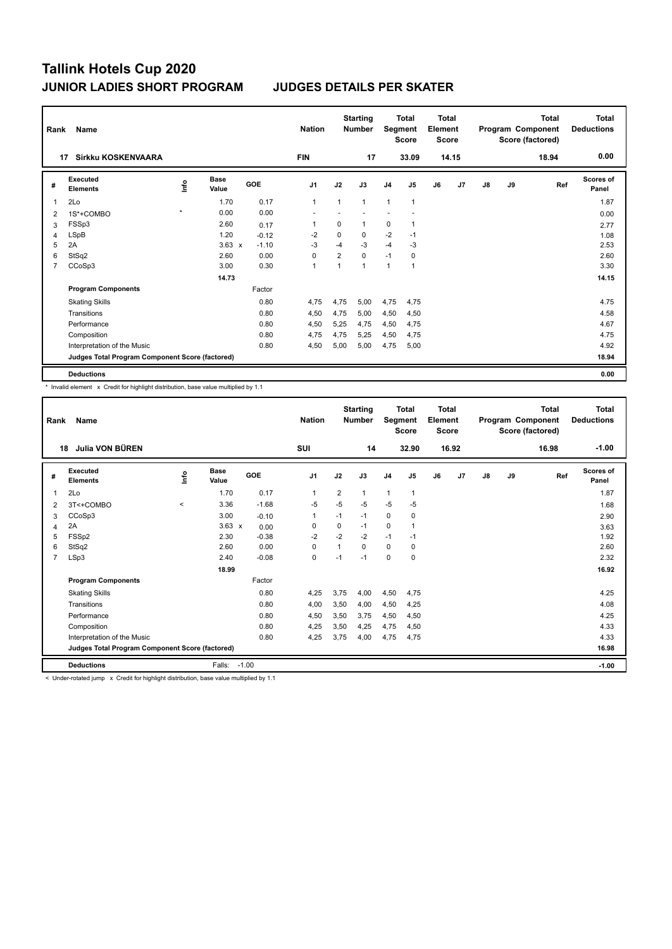| Rank           | Name                                            |         |                      |         | <b>Nation</b>  |                | <b>Starting</b><br><b>Number</b> | Segment        | <b>Total</b><br><b>Score</b> | <b>Total</b><br>Element<br><b>Score</b> |                |    |    | Total<br>Program Component<br>Score (factored) | Total<br><b>Deductions</b> |
|----------------|-------------------------------------------------|---------|----------------------|---------|----------------|----------------|----------------------------------|----------------|------------------------------|-----------------------------------------|----------------|----|----|------------------------------------------------|----------------------------|
|                | <b>Sirkku KOSKENVAARA</b><br>17                 |         |                      |         | <b>FIN</b>     |                | 17                               |                | 33.09                        |                                         | 14.15          |    |    | 18.94                                          | 0.00                       |
| #              | Executed<br><b>Elements</b>                     | lnfo    | <b>Base</b><br>Value | GOE     | J <sub>1</sub> | J2             | J3                               | J <sub>4</sub> | J <sub>5</sub>               | J6                                      | J <sub>7</sub> | J8 | J9 | Ref                                            | <b>Scores of</b><br>Panel  |
| 1              | 2Lo                                             |         | 1.70                 | 0.17    | $\mathbf{1}$   | 1              | $\mathbf{1}$                     | $\mathbf{1}$   | 1                            |                                         |                |    |    |                                                | 1.87                       |
| 2              | 1S*+COMBO                                       | $\star$ | 0.00                 | 0.00    |                |                |                                  |                |                              |                                         |                |    |    |                                                | 0.00                       |
| 3              | FSSp3                                           |         | 2.60                 | 0.17    | 1              | 0              | 1                                | 0              | 1                            |                                         |                |    |    |                                                | 2.77                       |
| 4              | LSpB                                            |         | 1.20                 | $-0.12$ | $-2$           | $\Omega$       | 0                                | $-2$           | $-1$                         |                                         |                |    |    |                                                | 1.08                       |
| 5              | 2A                                              |         | $3.63 \times$        | $-1.10$ | $-3$           | $-4$           | $-3$                             | $-4$           | $-3$                         |                                         |                |    |    |                                                | 2.53                       |
| 6              | StSq2                                           |         | 2.60                 | 0.00    | 0              | $\overline{2}$ | $\mathbf 0$                      | $-1$           | 0                            |                                         |                |    |    |                                                | 2.60                       |
| $\overline{7}$ | CCoSp3                                          |         | 3.00                 | 0.30    | $\overline{1}$ | 1              | 1                                | $\mathbf{1}$   | $\mathbf{1}$                 |                                         |                |    |    |                                                | 3.30                       |
|                |                                                 |         | 14.73                |         |                |                |                                  |                |                              |                                         |                |    |    |                                                | 14.15                      |
|                | <b>Program Components</b>                       |         |                      | Factor  |                |                |                                  |                |                              |                                         |                |    |    |                                                |                            |
|                | <b>Skating Skills</b>                           |         |                      | 0.80    | 4.75           | 4,75           | 5,00                             | 4,75           | 4.75                         |                                         |                |    |    |                                                | 4.75                       |
|                | Transitions                                     |         |                      | 0.80    | 4,50           | 4,75           | 5,00                             | 4,50           | 4,50                         |                                         |                |    |    |                                                | 4.58                       |
|                | Performance                                     |         |                      | 0.80    | 4.50           | 5.25           | 4.75                             | 4,50           | 4.75                         |                                         |                |    |    |                                                | 4.67                       |
|                | Composition                                     |         |                      | 0.80    | 4,75           | 4,75           | 5,25                             | 4,50           | 4,75                         |                                         |                |    |    |                                                | 4.75                       |
|                | Interpretation of the Music                     |         |                      | 0.80    | 4,50           | 5,00           | 5,00                             | 4,75           | 5,00                         |                                         |                |    |    |                                                | 4.92                       |
|                | Judges Total Program Component Score (factored) |         |                      |         |                |                |                                  |                |                              |                                         |                |    |    |                                                | 18.94                      |
|                | <b>Deductions</b>                               |         |                      |         |                |                |                                  |                |                              |                                         |                |    |    |                                                | 0.00                       |

\* Invalid element x Credit for highlight distribution, base value multiplied by 1.1

| Rank           | Name                                            |             |                      |            | <b>Nation</b>  |                | <b>Starting</b><br><b>Number</b> | <b>Total</b><br>Segment<br><b>Score</b> |                | <b>Total</b><br>Element<br><b>Score</b> |                | <b>Total</b><br>Program Component<br>Score (factored) |    |       | <b>Total</b><br><b>Deductions</b> |
|----------------|-------------------------------------------------|-------------|----------------------|------------|----------------|----------------|----------------------------------|-----------------------------------------|----------------|-----------------------------------------|----------------|-------------------------------------------------------|----|-------|-----------------------------------|
|                | Julia VON BÜREN<br>18                           |             |                      |            | <b>SUI</b>     |                | 14                               |                                         | 32.90          |                                         | 16.92          |                                                       |    | 16.98 | $-1.00$                           |
| #              | Executed<br><b>Elements</b>                     | <u>info</u> | <b>Base</b><br>Value | <b>GOE</b> | J <sub>1</sub> | J2             | J3                               | J <sub>4</sub>                          | J <sub>5</sub> | J6                                      | J <sub>7</sub> | J8                                                    | J9 | Ref   | <b>Scores of</b><br>Panel         |
| 1              | 2Lo                                             |             | 1.70                 | 0.17       | $\mathbf{1}$   | $\overline{2}$ | 1                                | $\overline{1}$                          | $\mathbf{1}$   |                                         |                |                                                       |    |       | 1.87                              |
| 2              | 3T<+COMBO                                       | $\hat{}$    | 3.36                 | $-1.68$    | $-5$           | $-5$           | $-5$                             | $-5$                                    | $-5$           |                                         |                |                                                       |    |       | 1.68                              |
| 3              | CCoSp3                                          |             | 3.00                 | $-0.10$    | $\mathbf{1}$   | $-1$           | $-1$                             | $\mathbf 0$                             | 0              |                                         |                |                                                       |    |       | 2.90                              |
| 4              | 2A                                              |             | $3.63 \times$        | 0.00       | 0              | 0              | $-1$                             | 0                                       | 1              |                                         |                |                                                       |    |       | 3.63                              |
| 5              | FSSp2                                           |             | 2.30                 | $-0.38$    | $-2$           | $-2$           | $-2$                             | $-1$                                    | $-1$           |                                         |                |                                                       |    |       | 1.92                              |
| 6              | StSq2                                           |             | 2.60                 | 0.00       | 0              | $\overline{1}$ | $\Omega$                         | $\mathbf 0$                             | 0              |                                         |                |                                                       |    |       | 2.60                              |
| $\overline{7}$ | LSp3                                            |             | 2.40                 | $-0.08$    | 0              | $-1$           | $-1$                             | $\mathbf 0$                             | $\mathbf 0$    |                                         |                |                                                       |    |       | 2.32                              |
|                |                                                 |             | 18.99                |            |                |                |                                  |                                         |                |                                         |                |                                                       |    |       | 16.92                             |
|                | <b>Program Components</b>                       |             |                      | Factor     |                |                |                                  |                                         |                |                                         |                |                                                       |    |       |                                   |
|                | <b>Skating Skills</b>                           |             |                      | 0.80       | 4.25           | 3.75           | 4.00                             | 4,50                                    | 4.75           |                                         |                |                                                       |    |       | 4.25                              |
|                | Transitions                                     |             |                      | 0.80       | 4,00           | 3,50           | 4,00                             | 4,50                                    | 4,25           |                                         |                |                                                       |    |       | 4.08                              |
|                | Performance                                     |             |                      | 0.80       | 4,50           | 3,50           | 3.75                             | 4,50                                    | 4,50           |                                         |                |                                                       |    |       | 4.25                              |
|                | Composition                                     |             |                      | 0.80       | 4,25           | 3,50           | 4,25                             | 4,75                                    | 4,50           |                                         |                |                                                       |    |       | 4.33                              |
|                | Interpretation of the Music                     |             |                      | 0.80       | 4,25           | 3.75           | 4,00                             | 4,75                                    | 4,75           |                                         |                |                                                       |    |       | 4.33                              |
|                | Judges Total Program Component Score (factored) |             |                      |            |                |                |                                  |                                         |                |                                         |                |                                                       |    |       | 16.98                             |
|                | <b>Deductions</b>                               |             | Falls:               | $-1.00$    |                |                |                                  |                                         |                |                                         |                |                                                       |    |       | $-1.00$                           |

< Under-rotated jump x Credit for highlight distribution, base value multiplied by 1.1